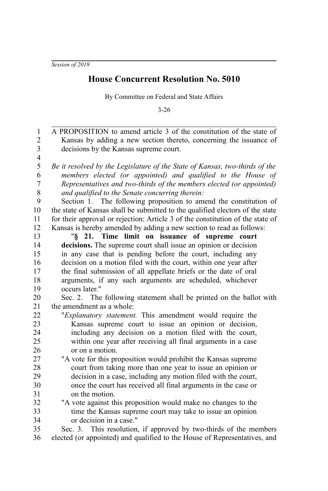## **House Concurrent Resolution No. 5010**

By Committee on Federal and State Affairs

3-26

| $\mathbf{1}$            | A PROPOSITION to amend article 3 of the constitution of the state of           |
|-------------------------|--------------------------------------------------------------------------------|
| $\overline{c}$          | Kansas by adding a new section thereto, concerning the issuance of             |
| $\overline{3}$          | decisions by the Kansas supreme court.                                         |
| $\overline{\mathbf{4}}$ |                                                                                |
| 5                       | Be it resolved by the Legislature of the State of Kansas, two-thirds of the    |
| 6                       | members elected (or appointed) and qualified to the House of                   |
| $\overline{7}$          | Representatives and two-thirds of the members elected (or appointed)           |
| 8                       | and qualified to the Senate concurring therein:                                |
| 9                       | Section 1. The following proposition to amend the constitution of              |
| 10                      | the state of Kansas shall be submitted to the qualified electors of the state  |
| 11                      | for their approval or rejection: Article 3 of the constitution of the state of |
| 12                      | Kansas is hereby amended by adding a new section to read as follows:           |
| 13                      | "§ 21. Time limit on issuance of supreme court                                 |
| 14                      | decisions. The supreme court shall issue an opinion or decision                |
| 15                      | in any case that is pending before the court, including any                    |
| 16                      | decision on a motion filed with the court, within one year after               |
| 17                      | the final submission of all appellate briefs or the date of oral               |
| 18                      | arguments, if any such arguments are scheduled, whichever                      |
| 19                      | occurs later."                                                                 |
| 20                      | Sec. 2. The following statement shall be printed on the ballot with            |
| 21                      | the amendment as a whole:                                                      |
| 22                      | "Explanatory statement. This amendment would require the                       |
| 23                      | Kansas supreme court to issue an opinion or decision,                          |
| 24                      | including any decision on a motion filed with the court,                       |
| 25                      | within one year after receiving all final arguments in a case                  |
| 26                      | or on a motion.                                                                |
| 27                      | "A vote for this proposition would prohibit the Kansas supreme                 |
| 28                      | court from taking more than one year to issue an opinion or                    |
| 29                      | decision in a case, including any motion filed with the court,                 |
| 30                      | once the court has received all final arguments in the case or                 |
| 31                      | on the motion.                                                                 |
| 32                      | "A vote against this proposition would make no changes to the                  |
| 33                      | time the Kansas supreme court may take to issue an opinion                     |
| 34                      | or decision in a case."                                                        |
| 35                      | Sec. 3. This resolution, if approved by two-thirds of the members              |
| 36                      | elected (or appointed) and qualified to the House of Representatives, and      |